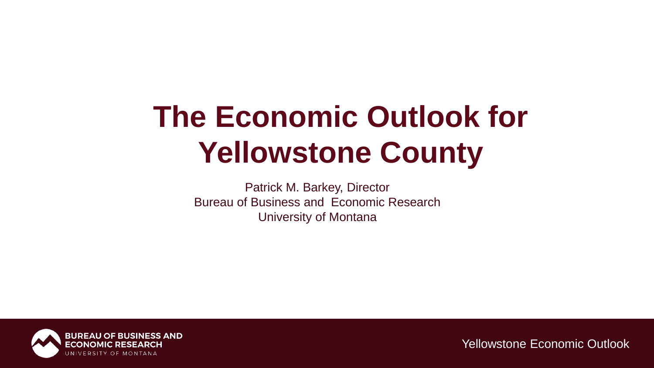# **The Economic Outlook for Yellowstone County**

Patrick M. Barkey, Director Bureau of Business and Economic Research University of Montana

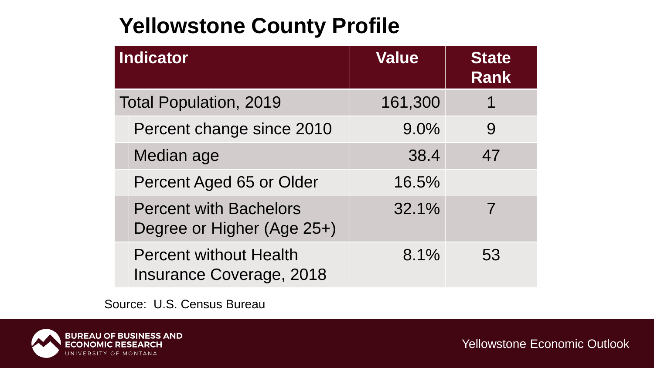## **Yellowstone County Profile**

| Indicator                     |                                                                  | <b>Value</b> | <b>State</b><br><b>Rank</b> |
|-------------------------------|------------------------------------------------------------------|--------------|-----------------------------|
| <b>Total Population, 2019</b> |                                                                  | 161,300      | 1                           |
|                               | Percent change since 2010                                        | 9.0%         | 9                           |
|                               | Median age                                                       | 38.4         | 47                          |
|                               | Percent Aged 65 or Older                                         | 16.5%        |                             |
|                               | <b>Percent with Bachelors</b><br>Degree or Higher (Age 25+)      | 32.1%        |                             |
|                               | <b>Percent without Health</b><br><b>Insurance Coverage, 2018</b> | 8.1%         | 53                          |

Source: U.S. Census Bureau

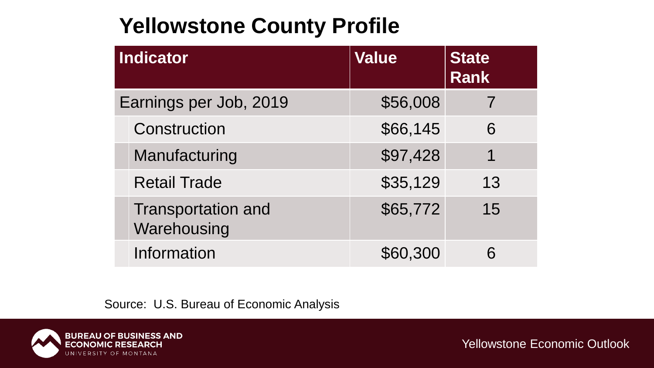## **Yellowstone County Profile**

| Indicator              |                                          | <b>Value</b> | <b>State</b><br><b>Rank</b> |
|------------------------|------------------------------------------|--------------|-----------------------------|
| Earnings per Job, 2019 |                                          | \$56,008     |                             |
|                        | Construction                             | \$66,145     | 6                           |
|                        | Manufacturing                            | \$97,428     | 1                           |
|                        | <b>Retail Trade</b>                      | \$35,129     | 13                          |
|                        | <b>Transportation and</b><br>Warehousing | \$65,772     | 15                          |
|                        | Information                              | \$60,300     |                             |

Source: U.S. Bureau of Economic Analysis

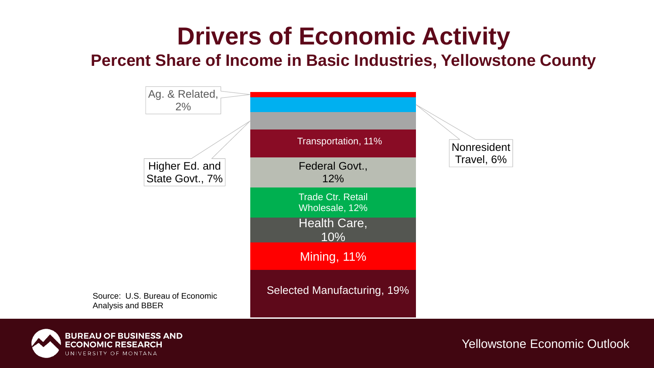## **Drivers of Economic Activity**

#### **Percent Share of Income in Basic Industries, Yellowstone County**



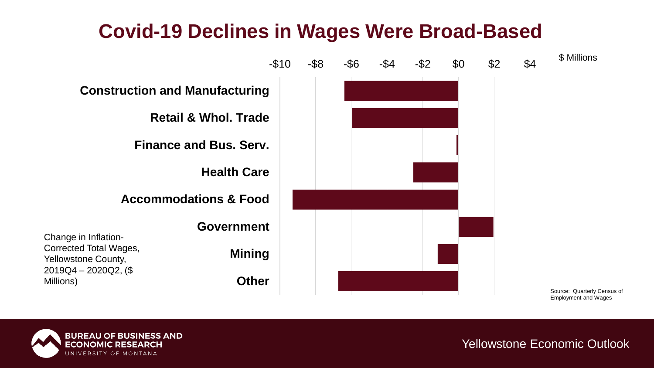## **Covid-19 Declines in Wages Were Broad-Based**



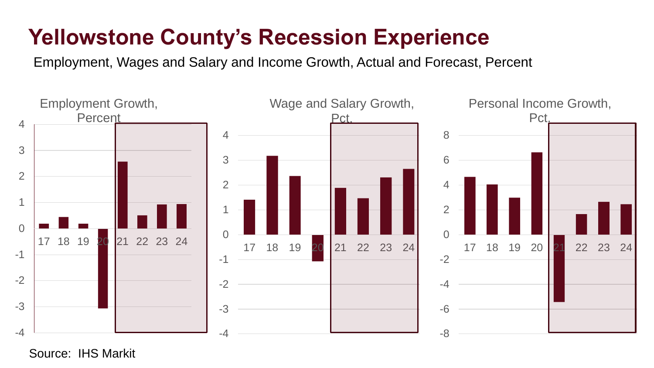## **Yellowstone County's Recession Experience**

Employment, Wages and Salary and Income Growth, Actual and Forecast, Percent



Source: IHS Markit